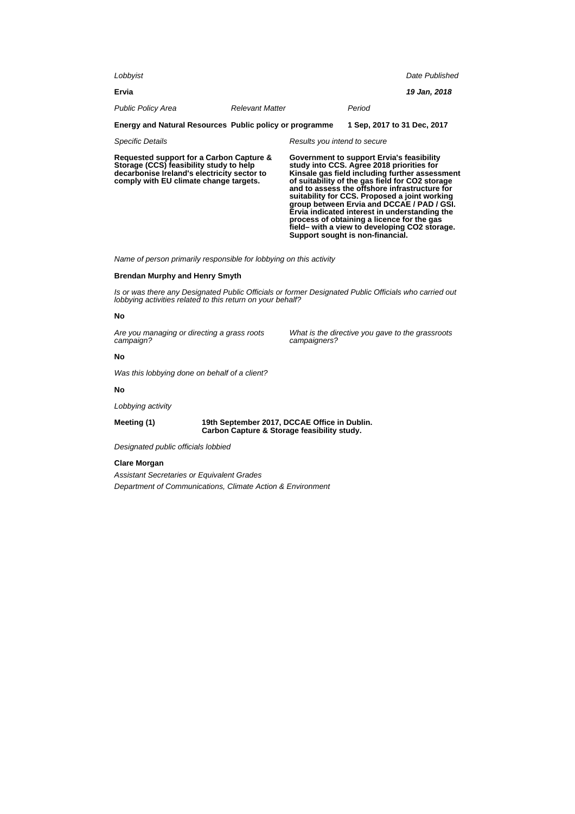| Lobbyist                                                                                                                                                                     |                        |                              |                                                                                                                                                                                                                                                                                                                                                                                                                                            | Date Published |
|------------------------------------------------------------------------------------------------------------------------------------------------------------------------------|------------------------|------------------------------|--------------------------------------------------------------------------------------------------------------------------------------------------------------------------------------------------------------------------------------------------------------------------------------------------------------------------------------------------------------------------------------------------------------------------------------------|----------------|
| Ervia                                                                                                                                                                        |                        |                              |                                                                                                                                                                                                                                                                                                                                                                                                                                            | 19 Jan, 2018   |
| <b>Public Policy Area</b>                                                                                                                                                    | <b>Relevant Matter</b> |                              | Period                                                                                                                                                                                                                                                                                                                                                                                                                                     |                |
| Energy and Natural Resources Public policy or programme                                                                                                                      |                        |                              | 1 Sep. 2017 to 31 Dec. 2017                                                                                                                                                                                                                                                                                                                                                                                                                |                |
| <b>Specific Details</b>                                                                                                                                                      |                        | Results you intend to secure |                                                                                                                                                                                                                                                                                                                                                                                                                                            |                |
| Requested support for a Carbon Capture &<br>Storage (CCS) feasibility study to help<br>decarbonise Ireland's electricity sector to<br>comply with EU climate change targets. |                        |                              | Government to support Ervia's feasibility<br>study into CCS. Agree 2018 priorities for<br>Kinsale gas field including further assessment<br>of suitability of the gas field for CO2 storage<br>and to assess the offshore infrastructure for<br>suitability for CCS. Proposed a joint working<br>group between Ervia and DCCAE / PAD / GSI.<br>Ervia indicated interest in understanding the<br>process of obtaining a licence for the gas |                |

Name of person primarily responsible for lobbying on this activity

### **Brendan Murphy and Henry Smyth**

Is or was there any Designated Public Officials or former Designated Public Officials who carried out lobbying activities related to this return on your behalf?

#### **No**

Are you managing or directing a grass roots campaign?

What is the directive you gave to the grassroots campaigners?

**field– with a view to developing CO2 storage.**

**Support sought is non-financial.**

### **No**

Was this lobbying done on behalf of a client?

## **No**

Lobbying activity

**Meeting (1) 19th September 2017, DCCAE Office in Dublin. Carbon Capture & Storage feasibility study.**

Designated public officials lobbied

### **Clare Morgan**

Assistant Secretaries or Equivalent Grades Department of Communications, Climate Action & Environment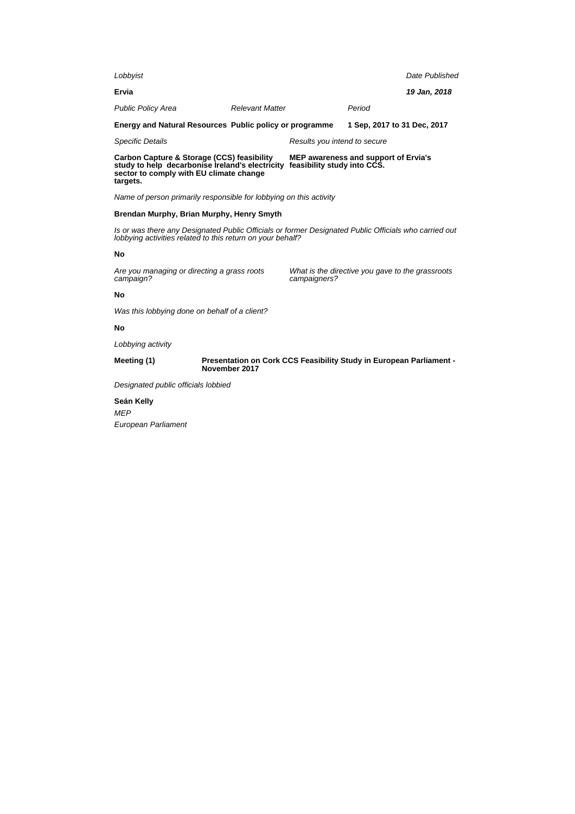| Lobbyist                                                                                                                                                            |                        |                                                                            |                                                  | Date Published |  |
|---------------------------------------------------------------------------------------------------------------------------------------------------------------------|------------------------|----------------------------------------------------------------------------|--------------------------------------------------|----------------|--|
| Ervia                                                                                                                                                               |                        |                                                                            |                                                  | 19 Jan, 2018   |  |
| <b>Public Policy Area</b>                                                                                                                                           | <b>Relevant Matter</b> |                                                                            | Period                                           |                |  |
| Energy and Natural Resources Public policy or programme                                                                                                             |                        |                                                                            | 1 Sep. 2017 to 31 Dec. 2017                      |                |  |
| <b>Specific Details</b>                                                                                                                                             |                        | Results you intend to secure                                               |                                                  |                |  |
| Carbon Capture & Storage (CCS) feasibility<br>study to help decarbonise Ireland's electricity<br>sector to comply with EU climate change<br>targets.                |                        | <b>MEP awareness and support of Ervia's</b><br>feasibility study into CCS. |                                                  |                |  |
| Name of person primarily responsible for lobbying on this activity                                                                                                  |                        |                                                                            |                                                  |                |  |
| Brendan Murphy, Brian Murphy, Henry Smyth                                                                                                                           |                        |                                                                            |                                                  |                |  |
| Is or was there any Designated Public Officials or former Designated Public Officials who carried out<br>lobbying activities related to this return on your behalf? |                        |                                                                            |                                                  |                |  |
| No                                                                                                                                                                  |                        |                                                                            |                                                  |                |  |
| Are you managing or directing a grass roots<br>campaign?                                                                                                            |                        | campaigners?                                                               | What is the directive you gave to the grassroots |                |  |
| No                                                                                                                                                                  |                        |                                                                            |                                                  |                |  |
| Was this lobbying done on behalf of a client?                                                                                                                       |                        |                                                                            |                                                  |                |  |
| No                                                                                                                                                                  |                        |                                                                            |                                                  |                |  |
| Lobbying activity                                                                                                                                                   |                        |                                                                            |                                                  |                |  |

**Meeting (1) Presentation on Cork CCS Feasibility Study in European Parliament - November 2017**

Designated public officials lobbied

**Seán Kelly** MEP European Parliament